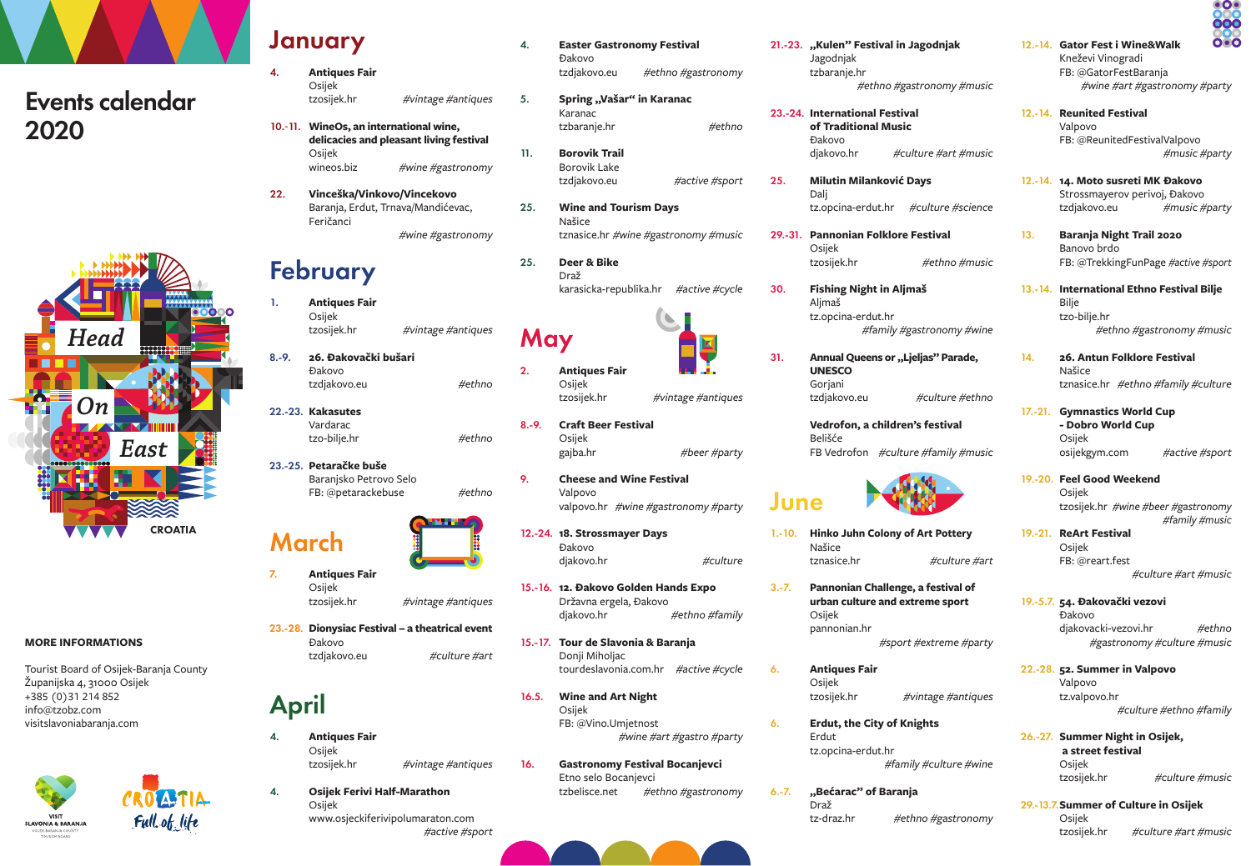## Events calendar 2020



#### **MORE INFORMATIONS**

Tourist Board of Osijek-Baranja County Županijska 4, 31000 Osijek +385 (0)31 214 852 info@tzobz.com visitslavoniabaranja.com



### January

4.

1.

- **Antiques Fair** Osijek tzosijek.hr *#vintage #antiques*
- **WineOs, an international wine,**  10.-11. **delicacies and pleasant living festival** Osijek wineos.biz *#wine #gastronomy*
- **Vinceška/Vinkovo/Vincekovo** Baranja, Erdut, Trnava/Mandićevac, Feričanci *#wine #gastronomy* 22.

### February

- **Antiques Fair** Osijek tzosijek.hr *#vintage #antiques*
- **26. Đakovački bušari** Đakovo tzdjakovo.eu 8.-9.
- **Kakasutes** 22.-23. Vardarac tzo-bilje.hr
- **Petaračke buše** 23.-25. Baranjsko Petrovo Selo FB: @petarackebuse

# March

- **Antiques Fair** Osijek tzosijek.hr *#vintage #antiques*
- **Dionysiac Festival a theatrical event** 23.-28. Đakovo tzdjakovo.eu  *#culture #art*

### April

4.

7.

- **Antiques Fair** Osijek tzosijek.hr *#vintage #antiques* 4.
	- **Osijek Ferivi Half-Marathon** Osijek www.osjeckiferivipolumaraton.com *#active #sport*
- **Easter Gastronomy Festival** Đakovo tzdjakovo.eu *#ethno #gastronomy* 4.
	- **Spring "Vašar" in Karanac** Karanac tzbaranje.hr
	- **Borovik Trail** Borovik Lake tzdjakovo.eu
- **Wine and Tourism Days** Našice tznasice.hr *#wine #gastronomy #music* 25.

 *#ethno* 

25.

30.

31.

6.

6.

6.-7.

*#active #sport*

 $\mathbf{K}$ 

**Deer & Bike** Draž karasicka-republika.hr *#active #cycle* 25.

## May

5.

11.

*#ethno*

*#ethno*

*#ethno*

- **Antiques Fair** Osijek 2.
- **Craft Beer Festival** Osijek gajba.hr *#beer #party* 8.-9.
- Valpovo valpovo.hr *#wine #gastronomy #party*  9.
	- Đakovo diakovo.hr *#culture*
- **12. Đakovo Golden Hands Expo**  15.-16. Državna ergela, Đakovo djakovo.hr *#ethno #family*
- **Tour de Slavonia & Baranja** 15.-17. Donii Miholiac tourdeslavonia.com.hr *#active #cycle*
- Osijek FB: @Vino.Umjetnost *#wine #art #gastro #party*
- **Gastronomy Festival Bocanjevci** Etno selo Bocanjevci tzbelisce.net *#ethno #gastronomy*
- 
- 21.-23. "Kulen" Festival in Jagodnjak Jagodnjak tzbaranje.hr *#ethno #gastronomy #music*
- **International Festival**  23.-24. **of Traditional Music** Đakovo djakovo.hr *#culture #art #music*
	- **Milutin Milanković Days** Dalj tz.opcina-erdut.hr *#culture #science*
- **Pannonian Folklore Festival** Osijek tzosijek.hr *#ethno #music* 29.-31.
	- **Fishing Night in Aljmaš** Aljmaš tz.opcina-erdut.hr *#family #gastronomy #wine*
	- Annual Queens or "Ljeljas" Parade, **UNESCO** Goriani tzdjakovo.eu *#culture #ethno*
	- **Vedrofon, a children's festival** Belišće FB Vedrofon *#culture #family #music*

## June

- **Hinko Juhn Colony of Art Pottery** Našice tznasice.hr *#culture #art* 1.-10.
- **Pannonian Challenge, a festival of urban culture and extreme sport** Osijek pannonian.hr *#sport #extreme #party* 3.-7.
	- **Antiques Fair** Osijek tzosijek.hr *#vintage #antiques*
	- **Erdut, the City of Knights** Erdut tz.opcina-erdut.hr *#family #culture #wine*
	- **"Bećarac" of Baranja** Draž tz-draz.hr *#ethno #gastronomy*

### 12.-14. Gator Fest i Wine&Walk Kneževi Vinogradi FB: @GatorFestBaranja

- *#wine #art #gastronomy #party*
- 12.-14. Reunited Festival Valpovo FB: @ReunitedFestivalValpovo *#music #party*
- **14. Moto susreti MK Đakovo** 12.-14. Strossmayerov perivoj, Đakovo tzdjakovo.eu *#music #party*
- **Baranja Night Trail 2020** Banovo brdo FB: @TrekkingFunPage *#active #sport* 13.
- **International Ethno Festival Bilje** 13.-14. **Bilie** tzo-bilje.hr *#ethno #gastronomy #music*
	- **26. Antun Folklore Festival** Našice tznasice.hr *#ethno #family #culture*

14.

- 17.-21. Gymnastics World Cup **- Dobro World Cup** Osijek osijekgym.com *#active #sport*
- **Feel Good Weekend** 19.-20. Osijek tzosijek.hr *#wine #beer #gastronomy*  19.-21. ReArt Festival *#family #music*
	- Osijek FB: @reart.fest *#culture #art #music*
- **54. Đakovački vezovi** 19.-5.7. Đakovo djakovacki-vezovi.hr *#ethno #gastronomy #culture #music*
- **52. Summer in Valpovo** 22.-28. Valpovo tz.valpovo.hr *#culture #ethno #family*
- 26.-27. Summer Night in Osijek,  **a street festival** Osijek tzosijek.hr *#culture #music*
- 29.-13.7. Summer of Culture in Osijek Osijek tzosijek.hr *#culture #art #music*





- tzosijek.hr *#vintage #antiques*
- 
- **Cheese and Wine Festival**
- **18. Strossmayer Days** 12.-24.
- 
- 
- **Wine and Art Night** 16.5.